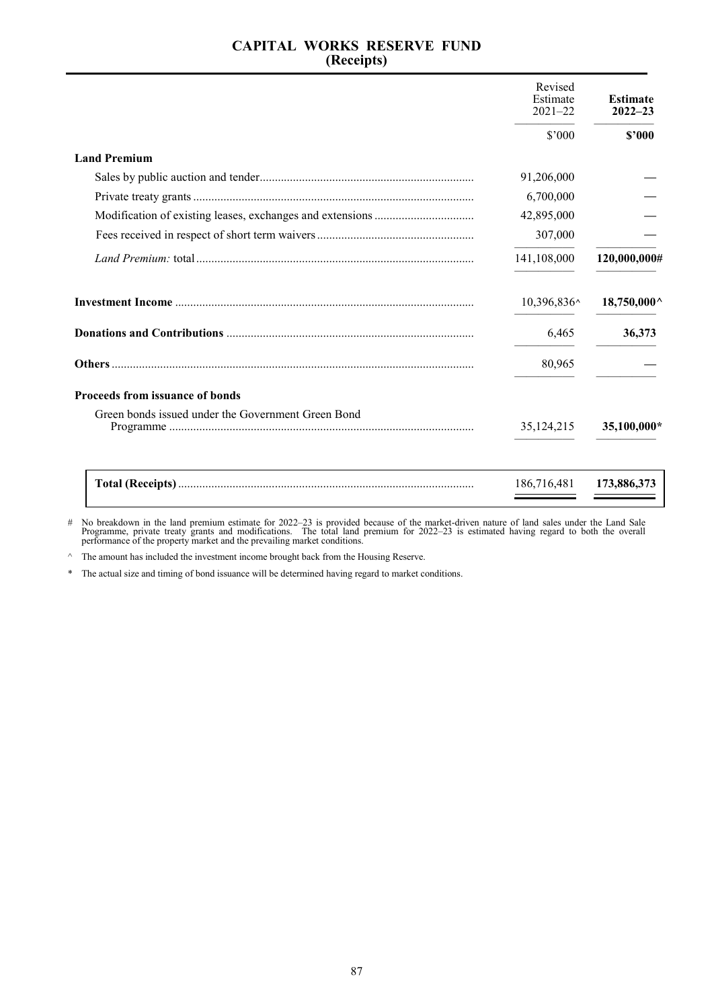# **CAPITAL WORKS RESERVE FUND (Receipts)**

|                                                    | Revised<br>Estimate<br>$2021 - 22$ | <b>Estimate</b><br>$2022 - 23$ |
|----------------------------------------------------|------------------------------------|--------------------------------|
|                                                    | \$7000                             | \$2000                         |
| <b>Land Premium</b>                                |                                    |                                |
|                                                    | 91,206,000                         |                                |
|                                                    | 6,700,000                          |                                |
|                                                    | 42,895,000                         |                                |
|                                                    | 307,000                            |                                |
|                                                    | 141,108,000                        | 120,000,000#                   |
|                                                    | 10,396,836^                        | $18,750,000^{\circ}$           |
|                                                    | 6,465                              | 36,373                         |
|                                                    | 80,965                             |                                |
| <b>Proceeds from issuance of bonds</b>             |                                    |                                |
| Green bonds issued under the Government Green Bond | 35,124,215                         | 35,100,000*                    |
|                                                    | 186,716,481                        | 173,886,373                    |

# No breakdown in the land premium estimate for 2022–23 is provided because of the market-driven nature of land sales under the Land Sale<br>Programme, private treaty grants and modifications. The total land premium for 2022–

 $\wedge$  The amount has included the investment income brought back from the Housing Reserve.

\* The actual size and timing of bond issuance will be determined having regard to market conditions.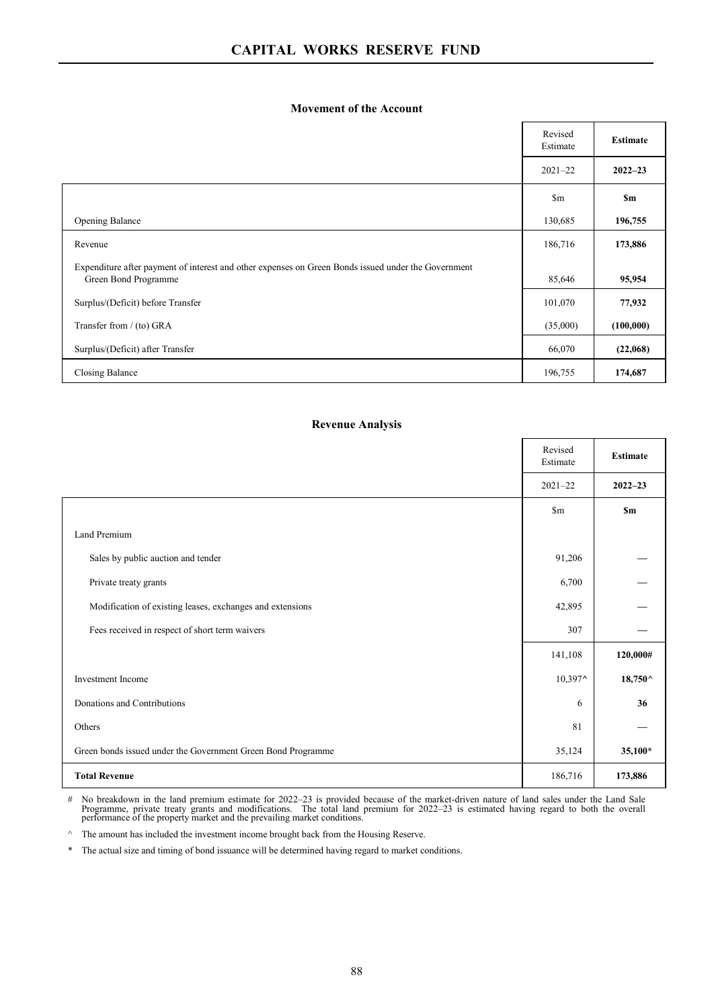### **Movement of the Account**

|                                                                                                                             | Revised<br>Estimate | <b>Estimate</b> |
|-----------------------------------------------------------------------------------------------------------------------------|---------------------|-----------------|
|                                                                                                                             | $2021 - 22$         | $2022 - 23$     |
|                                                                                                                             | $\mathbb{S}_{m}$    | \$m             |
| Opening Balance                                                                                                             | 130,685             | 196,755         |
| Revenue                                                                                                                     | 186,716             | 173,886         |
| Expenditure after payment of interest and other expenses on Green Bonds issued under the Government<br>Green Bond Programme | 85,646              | 95,954          |
| Surplus/(Deficit) before Transfer                                                                                           | 101,070             | 77,932          |
| Transfer from / (to) GRA                                                                                                    | (35,000)            | (100,000)       |
| Surplus/(Deficit) after Transfer                                                                                            | 66,070              | (22,068)        |
| Closing Balance                                                                                                             | 196,755             | 174,687         |

### **Revenue Analysis**

|                                                              | Revised<br>Estimate | <b>Estimate</b>       |
|--------------------------------------------------------------|---------------------|-----------------------|
|                                                              | $2021 - 22$         | $2022 - 23$           |
|                                                              | $\mathbf{Sm}$       | <b>Sm</b>             |
| Land Premium                                                 |                     |                       |
| Sales by public auction and tender                           | 91,206              |                       |
| Private treaty grants                                        | 6,700               |                       |
| Modification of existing leases, exchanges and extensions    | 42,895              |                       |
| Fees received in respect of short term waivers               | 307                 |                       |
|                                                              | 141,108             | 120,000#              |
| <b>Investment</b> Income                                     | 10,397^             | $18,750^{\,\wedge}\,$ |
| Donations and Contributions                                  | 6                   | 36                    |
| Others                                                       | 81                  |                       |
| Green bonds issued under the Government Green Bond Programme | 35,124              | 35,100*               |
| <b>Total Revenue</b>                                         | 186,716             | 173,886               |

# No breakdown in the land premium estimate for 2022–23 is provided because of the market-driven nature of land sales under the Land Sale<br>Programme, private treaty grants and modifications. The total land premium for 2022–

 $\wedge$  The amount has included the investment income brought back from the Housing Reserve.

\* The actual size and timing of bond issuance will be determined having regard to market conditions.